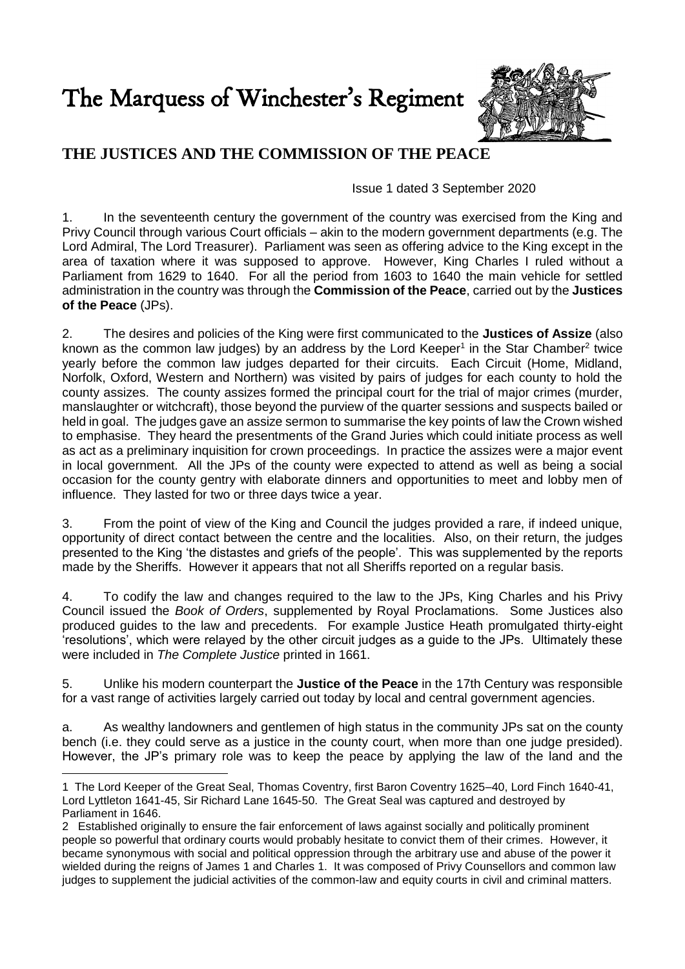The Marquess of Winchester's Regiment



## **THE JUSTICES AND THE COMMISSION OF THE PEACE**

Issue 1 dated 3 September 2020

1. In the seventeenth century the government of the country was exercised from the King and Privy Council through various Court officials – akin to the modern government departments (e.g. The Lord Admiral, The Lord Treasurer). Parliament was seen as offering advice to the King except in the area of taxation where it was supposed to approve. However, King Charles I ruled without a Parliament from 1629 to 1640. For all the period from 1603 to 1640 the main vehicle for settled administration in the country was through the **Commission of the Peace**, carried out by the **Justices of the Peace** (JPs).

2. The desires and policies of the King were first communicated to the **Justices of Assize** (also known as the common law judges) by an address by the Lord Keeper<sup>1</sup> in the Star Chamber<sup>2</sup> twice yearly before the common law judges departed for their circuits. Each Circuit (Home, Midland, Norfolk, Oxford, Western and Northern) was visited by pairs of judges for each county to hold the county assizes. The county assizes formed the principal court for the trial of major crimes (murder, manslaughter or witchcraft), those beyond the purview of the quarter sessions and suspects bailed or held in goal. The judges gave an assize sermon to summarise the key points of law the Crown wished to emphasise. They heard the presentments of the Grand Juries which could initiate process as well as act as a preliminary inquisition for crown proceedings. In practice the assizes were a major event in local government. All the JPs of the county were expected to attend as well as being a social occasion for the county gentry with elaborate dinners and opportunities to meet and lobby men of influence. They lasted for two or three days twice a year.

3. From the point of view of the King and Council the judges provided a rare, if indeed unique, opportunity of direct contact between the centre and the localities. Also, on their return, the judges presented to the King 'the distastes and griefs of the people'. This was supplemented by the reports made by the Sheriffs. However it appears that not all Sheriffs reported on a regular basis.

4. To codify the law and changes required to the law to the JPs, King Charles and his Privy Council issued the *Book of Orders*, supplemented by Royal Proclamations. Some Justices also produced guides to the law and precedents. For example Justice Heath promulgated thirty-eight 'resolutions', which were relayed by the other circuit judges as a guide to the JPs. Ultimately these were included in *The Complete Justice* printed in 1661.

5. Unlike his modern counterpart the **Justice of the Peace** in the 17th Century was responsible for a vast range of activities largely carried out today by local and central government agencies.

a. As wealthy landowners and gentlemen of high status in the community JPs sat on the county bench (i.e. they could serve as a justice in the county court, when more than one judge presided). However, the JP's primary role was to keep the peace by applying the law of the land and the

1

<sup>1</sup> The Lord Keeper of the Great Seal, Thomas Coventry, first Baron Coventry 1625–40, Lord Finch 1640-41, Lord Lyttleton 1641-45, Sir Richard Lane 1645-50. The Great Seal was captured and destroyed by Parliament in 1646.

<sup>2</sup> Established originally to ensure the fair enforcement of laws against socially and politically prominent people so powerful that ordinary courts would probably hesitate to convict them of their crimes. However, it became synonymous with social and political oppression through the arbitrary use and abuse of the power it wielded during the reigns of James 1 and Charles 1. It was composed of Privy Counsellors and common law judges to supplement the judicial activities of the common-law and equity courts in civil and criminal matters.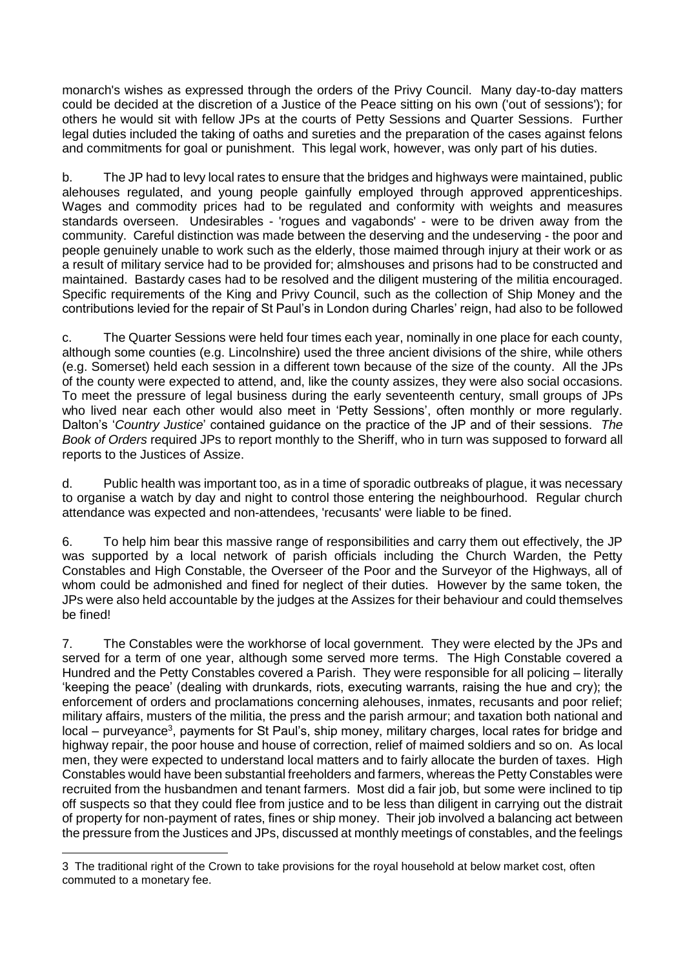monarch's wishes as expressed through the orders of the Privy Council. Many day-to-day matters could be decided at the discretion of a Justice of the Peace sitting on his own ('out of sessions'); for others he would sit with fellow JPs at the courts of Petty Sessions and Quarter Sessions. Further legal duties included the taking of oaths and sureties and the preparation of the cases against felons and commitments for goal or punishment. This legal work, however, was only part of his duties.

b. The JP had to levy local rates to ensure that the bridges and highways were maintained, public alehouses regulated, and young people gainfully employed through approved apprenticeships. Wages and commodity prices had to be regulated and conformity with weights and measures standards overseen. Undesirables - 'rogues and vagabonds' - were to be driven away from the community. Careful distinction was made between the deserving and the undeserving - the poor and people genuinely unable to work such as the elderly, those maimed through injury at their work or as a result of military service had to be provided for; almshouses and prisons had to be constructed and maintained. Bastardy cases had to be resolved and the diligent mustering of the militia encouraged. Specific requirements of the King and Privy Council, such as the collection of Ship Money and the contributions levied for the repair of St Paul's in London during Charles' reign, had also to be followed

c. The Quarter Sessions were held four times each year, nominally in one place for each county, although some counties (e.g. Lincolnshire) used the three ancient divisions of the shire, while others (e.g. Somerset) held each session in a different town because of the size of the county. All the JPs of the county were expected to attend, and, like the county assizes, they were also social occasions. To meet the pressure of legal business during the early seventeenth century, small groups of JPs who lived near each other would also meet in 'Petty Sessions', often monthly or more regularly. Dalton's '*Country Justice*' contained guidance on the practice of the JP and of their sessions. *The Book of Orders* required JPs to report monthly to the Sheriff, who in turn was supposed to forward all reports to the Justices of Assize.

d. Public health was important too, as in a time of sporadic outbreaks of plague, it was necessary to organise a watch by day and night to control those entering the neighbourhood. Regular church attendance was expected and non-attendees, 'recusants' were liable to be fined.

6. To help him bear this massive range of responsibilities and carry them out effectively, the JP was supported by a local network of parish officials including the Church Warden, the Petty Constables and High Constable, the Overseer of the Poor and the Surveyor of the Highways, all of whom could be admonished and fined for neglect of their duties. However by the same token, the JPs were also held accountable by the judges at the Assizes for their behaviour and could themselves be fined!

7. The Constables were the workhorse of local government. They were elected by the JPs and served for a term of one year, although some served more terms. The High Constable covered a Hundred and the Petty Constables covered a Parish. They were responsible for all policing – literally 'keeping the peace' (dealing with drunkards, riots, executing warrants, raising the hue and cry); the enforcement of orders and proclamations concerning alehouses, inmates, recusants and poor relief; military affairs, musters of the militia, the press and the parish armour; and taxation both national and local – purveyance<sup>3</sup>, payments for St Paul's, ship money, military charges, local rates for bridge and highway repair, the poor house and house of correction, relief of maimed soldiers and so on. As local men, they were expected to understand local matters and to fairly allocate the burden of taxes. High Constables would have been substantial freeholders and farmers, whereas the Petty Constables were recruited from the husbandmen and tenant farmers. Most did a fair job, but some were inclined to tip off suspects so that they could flee from justice and to be less than diligent in carrying out the distrait of property for non-payment of rates, fines or ship money. Their job involved a balancing act between the pressure from the Justices and JPs, discussed at monthly meetings of constables, and the feelings

1

<sup>3</sup> The traditional right of the Crown to take provisions for the royal household at below market cost, often commuted to a monetary fee.